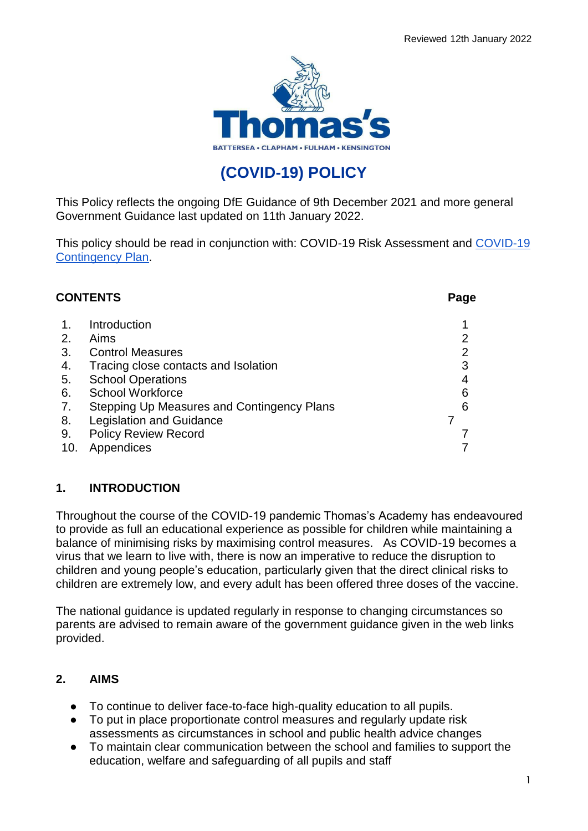

# **(COVID-19) POLICY**

This Policy reflects the ongoing DfE Guidance of 9th December 2021 and more general Government Guidance last updated on 11th January 2022.

This policy should be read in conjunction with: COVID-19 Risk Assessment and [COVID-19](https://docs.google.com/document/u/0/d/1gty9HSz6dRI2UzbY8ca8aXIz20t1IfOOE9S3_FWrx7w/edit)  [Contingency Plan.](https://docs.google.com/document/u/0/d/1gty9HSz6dRI2UzbY8ca8aXIz20t1IfOOE9S3_FWrx7w/edit)

| <b>CONTENTS</b> |                                            |   |
|-----------------|--------------------------------------------|---|
|                 | Introduction                               |   |
| 2.              | Aims                                       |   |
| 3.              | <b>Control Measures</b>                    | 2 |
| 4.              | Tracing close contacts and Isolation       | 3 |
| 5.              | <b>School Operations</b>                   |   |
| 6.              | <b>School Workforce</b>                    | 6 |
| 7.              | Stepping Up Measures and Contingency Plans | 6 |
| 8.              | <b>Legislation and Guidance</b>            |   |
| 9.              | <b>Policy Review Record</b>                |   |
| 10.             | Appendices                                 |   |

# **1. INTRODUCTION**

Throughout the course of the COVID-19 pandemic Thomas's Academy has endeavoured to provide as full an educational experience as possible for children while maintaining a balance of minimising risks by maximising control measures. As COVID-19 becomes a virus that we learn to live with, there is now an imperative to reduce the disruption to children and young people's education, particularly given that the direct clinical risks to children are extremely low, and every adult has been offered three doses of the vaccine.

The national guidance is updated regularly in response to changing circumstances so parents are advised to remain aware of the government guidance given in the web links provided.

#### **2. AIMS**

- To continue to deliver face-to-face high-quality education to all pupils.
- To put in place proportionate control measures and regularly update risk assessments as circumstances in school and public health advice changes
- To maintain clear communication between the school and families to support the education, welfare and safeguarding of all pupils and staff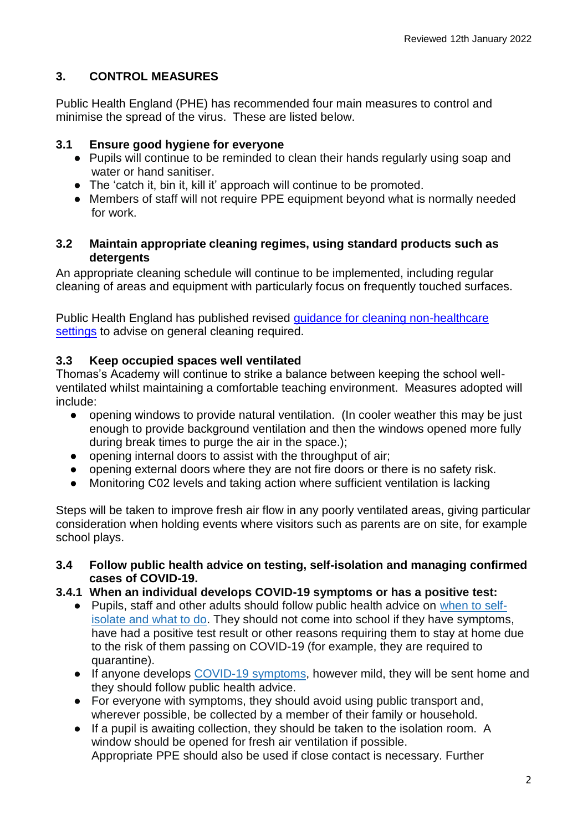# **3. CONTROL MEASURES**

Public Health England (PHE) has recommended four main measures to control and minimise the spread of the virus. These are listed below.

#### **3.1 Ensure good hygiene for everyone**

- Pupils will continue to be reminded to clean their hands regularly using soap and water or hand sanitiser.
- The 'catch it, bin it, kill it' approach will continue to be promoted.
- Members of staff will not require PPE equipment beyond what is normally needed for work.

#### **3.2 Maintain appropriate cleaning regimes, using standard products such as detergents**

An appropriate cleaning schedule will continue to be implemented, including regular cleaning of areas and equipment with particularly focus on frequently touched surfaces.

Public Health England has published revised [guidance for cleaning non-healthcare](https://www.gov.uk/government/publications/covid-19-decontamination-in-non-healthcare-settings)  [settings](https://www.gov.uk/government/publications/covid-19-decontamination-in-non-healthcare-settings) to advise on general cleaning required.

# **3.3 Keep occupied spaces well ventilated**

Thomas's Academy will continue to strike a balance between keeping the school wellventilated whilst maintaining a comfortable teaching environment. Measures adopted will include:

- opening windows to provide natural ventilation. (In cooler weather this may be just enough to provide background ventilation and then the windows opened more fully during break times to purge the air in the space.);
- opening internal doors to assist with the throughput of air;
- opening external doors where they are not fire doors or there is no safety risk.
- Monitoring C02 levels and taking action where sufficient ventilation is lacking

Steps will be taken to improve fresh air flow in any poorly ventilated areas, giving particular consideration when holding events where visitors such as parents are on site, for example school plays.

- **3.4 Follow public health advice on testing, self-isolation and managing confirmed cases of COVID-19.**
- **3.4.1 When an individual develops COVID-19 symptoms or has a positive test:**
	- Pupils, staff and other adults should follow public health advice on [when to self](https://www.nhs.uk/conditions/coronavirus-covid-19/self-isolation-and-treatment/when-to-self-isolate-and-what-to-do/)[isolate and what to do.](https://www.nhs.uk/conditions/coronavirus-covid-19/self-isolation-and-treatment/when-to-self-isolate-and-what-to-do/) They should not come into school if they have symptoms, have had a positive test result or other reasons requiring them to stay at home due to the risk of them passing on COVID-19 (for example, they are required to quarantine).
	- If anyone develops [COVID-19 symptoms,](https://www.nhs.uk/conditions/coronavirus-covid-19/symptoms/) however mild, they will be sent home and they should follow public health advice.
	- For everyone with symptoms, they should avoid using public transport and, wherever possible, be collected by a member of their family or household.
	- If a pupil is awaiting collection, they should be taken to the isolation room. A window should be opened for fresh air ventilation if possible. Appropriate PPE should also be used if close contact is necessary. Further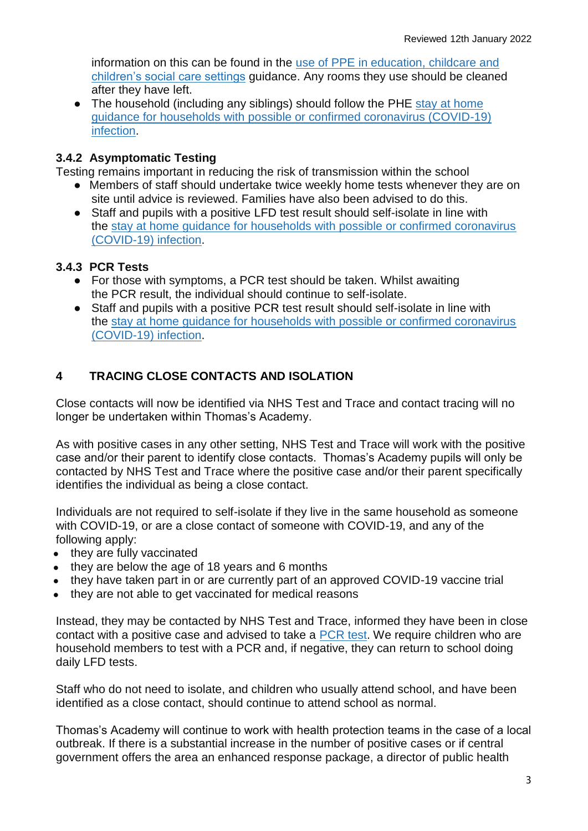information on this can be found in the use of PPE [in education, childcare and](https://www.gov.uk/government/publications/safe-working-in-education-childcare-and-childrens-social-care)  [children's social care settings](https://www.gov.uk/government/publications/safe-working-in-education-childcare-and-childrens-social-care) guidance. Any rooms they use should be cleaned after they have left.

• The household (including any siblings) should follow the PHE stay at home [guidance for households with possible or confirmed coronavirus \(COVID-19\)](https://www.gov.uk/government/publications/covid-19-stay-at-home-guidance/stay-at-home-guidance-for-households-with-possible-coronavirus-covid-19-infection)  [infection.](https://www.gov.uk/government/publications/covid-19-stay-at-home-guidance/stay-at-home-guidance-for-households-with-possible-coronavirus-covid-19-infection)

#### **3.4.2 Asymptomatic Testing**

Testing remains important in reducing the risk of transmission within the school

- Members of staff should undertake twice weekly home tests whenever they are on site until advice is reviewed. Families have also been advised to do this.
- Staff and pupils with a positive LFD test result should self-isolate in line with the [stay at home guidance for households with possible or confirmed coronavirus](https://www.gov.uk/government/publications/covid-19-stay-at-home-guidance/stay-at-home-guidance-for-households-with-possible-coronavirus-covid-19-infection)  [\(COVID-19\) infection.](https://www.gov.uk/government/publications/covid-19-stay-at-home-guidance/stay-at-home-guidance-for-households-with-possible-coronavirus-covid-19-infection)

#### **3.4.3 PCR Tests**

- For those with symptoms, a PCR test should be taken. Whilst awaiting the PCR result, the individual should continue to self-isolate.
- Staff and pupils with a positive PCR test result should self-isolate in line with the [stay at home guidance for households with possible or confirmed coronavirus](https://www.gov.uk/government/publications/covid-19-stay-at-home-guidance/stay-at-home-guidance-for-households-with-possible-coronavirus-covid-19-infection)  [\(COVID-19\) infection.](https://www.gov.uk/government/publications/covid-19-stay-at-home-guidance/stay-at-home-guidance-for-households-with-possible-coronavirus-covid-19-infection)

# **4 TRACING CLOSE CONTACTS AND ISOLATION**

Close contacts will now be identified via NHS Test and Trace and contact tracing will no longer be undertaken within Thomas's Academy.

As with positive cases in any other setting, NHS Test and Trace will work with the positive case and/or their parent to identify close contacts. Thomas's Academy pupils will only be contacted by NHS Test and Trace where the positive case and/or their parent specifically identifies the individual as being a close contact.

Individuals are not required to self-isolate if they live in the same household as someone with COVID-19, or are a close contact of someone with COVID-19, and any of the following apply:

- they are fully vaccinated
- they are below the age of 18 years and 6 months
- they have taken part in or are currently part of an approved COVID-19 vaccine trial
- they are not able to get vaccinated for medical reasons

Instead, they may be contacted by NHS Test and Trace, informed they have been in close contact with a positive case and advised to take a [PCR](https://www.gov.uk/get-coronavirus-test) test. We require children who are household members to test with a PCR and, if negative, they can return to school doing daily LFD tests.

Staff who do not need to isolate, and children who usually attend school, and have been identified as a close contact, should continue to attend school as normal.

Thomas's Academy will continue to work with health protection teams in the case of a local outbreak. If there is a substantial increase in the number of positive cases or if central government offers the area an enhanced response package, a director of public health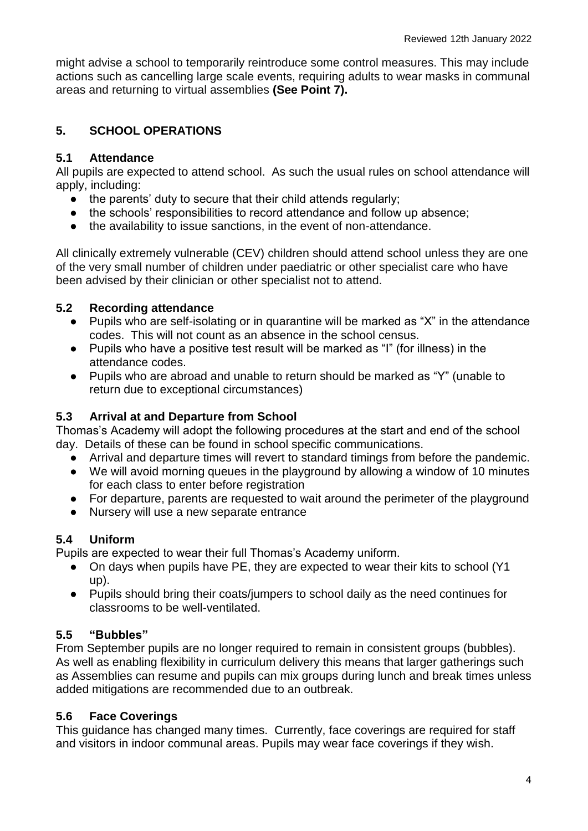might advise a school to temporarily reintroduce some control measures. This may include actions such as cancelling large scale events, requiring adults to wear masks in communal areas and returning to virtual assemblies **(See Point 7).**

# **5. SCHOOL OPERATIONS**

#### **5.1 Attendance**

All pupils are expected to attend school. As such the usual rules on school attendance will apply, including:

- $\bullet$  the parents' duty to secure that their child attends regularly;
- the schools' responsibilities to record attendance and follow up absence;
- the availability to issue sanctions, in the event of non-attendance.

All clinically extremely vulnerable (CEV) children should attend school unless they are one of the very small number of children under paediatric or other specialist care who have been advised by their clinician or other specialist not to attend.

#### **5.2 Recording attendance**

- Pupils who are self-isolating or in quarantine will be marked as "X" in the attendance codes. This will not count as an absence in the school census.
- Pupils who have a positive test result will be marked as "I" (for illness) in the attendance codes.
- Pupils who are abroad and unable to return should be marked as "Y" (unable to return due to exceptional circumstances)

#### **5.3 Arrival at and Departure from School**

Thomas's Academy will adopt the following procedures at the start and end of the school day. Details of these can be found in school specific communications.

- Arrival and departure times will revert to standard timings from before the pandemic.
- We will avoid morning queues in the playground by allowing a window of 10 minutes for each class to enter before registration
- For departure, parents are requested to wait around the perimeter of the playground
- Nursery will use a new separate entrance

#### **5.4 Uniform**

Pupils are expected to wear their full Thomas's Academy uniform.

- On days when pupils have PE, they are expected to wear their kits to school (Y1 up).
- Pupils should bring their coats/jumpers to school daily as the need continues for classrooms to be well-ventilated.

# **5.5 "Bubbles"**

From September pupils are no longer required to remain in consistent groups (bubbles). As well as enabling flexibility in curriculum delivery this means that larger gatherings such as Assemblies can resume and pupils can mix groups during lunch and break times unless added mitigations are recommended due to an outbreak.

# **5.6 Face Coverings**

This guidance has changed many times. Currently, face coverings are required for staff and visitors in indoor communal areas. Pupils may wear face coverings if they wish.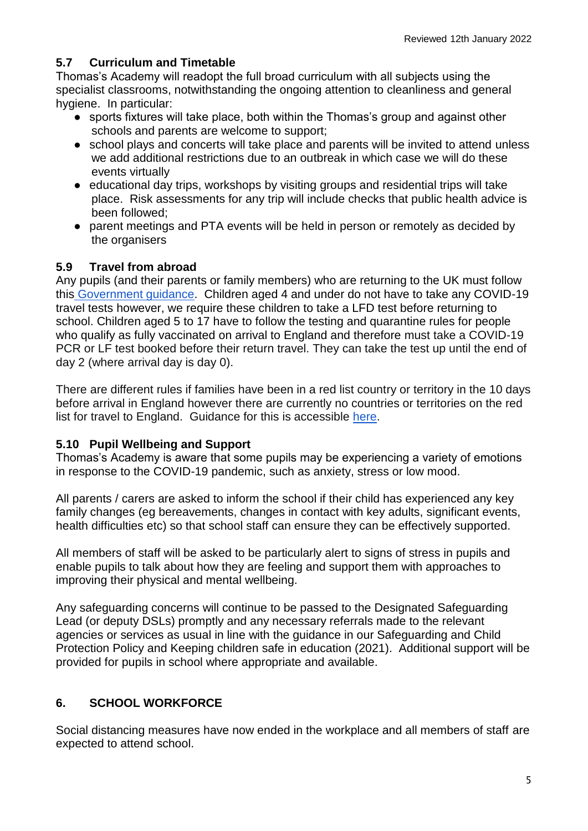#### **5.7 Curriculum and Timetable**

Thomas's Academy will readopt the full broad curriculum with all subjects using the specialist classrooms, notwithstanding the ongoing attention to cleanliness and general hygiene. In particular:

- sports fixtures will take place, both within the Thomas's group and against other schools and parents are welcome to support;
- school plays and concerts will take place and parents will be invited to attend unless we add additional restrictions due to an outbreak in which case we will do these events virtually
- educational day trips, workshops by visiting groups and residential trips will take place. Risk assessments for any trip will include checks that public health advice is been followed;
- parent meetings and PTA events will be held in person or remotely as decided by the organisers

#### **5.9 Travel from abroad**

Any pupils (and their parents or family members) who are returning to the UK must follow thi[s](https://www.gov.uk/guidance/travel-to-england-from-another-country-during-coronavirus-covid-19) [Government guidance.](https://www.gov.uk/guidance/travel-to-england-from-another-country-during-coronavirus-covid-19) Children aged 4 and under do not have to take any COVID-19 travel tests however, we require these children to take a LFD test before returning to school. Children aged 5 to 17 have to follow the testing and quarantine rules for people who qualify as fully vaccinated on arrival to England and therefore must take a COVID-19 PCR or LF test booked before their return travel. They can take the test up until the end of day 2 (where arrival day is day 0).

There are different rules if families have been in a red list country or territory in the 10 days before arrival in England however there are currently no countries or territories on the red list for travel to England. Guidance for this is accessible [here.](https://www.gov.uk/guidance/red-list-of-countries-and-territories)

#### **5.10 Pupil Wellbeing and Support**

Thomas's Academy is aware that some pupils may be experiencing a variety of emotions in response to the COVID-19 pandemic, such as anxiety, stress or low mood.

All parents / carers are asked to inform the school if their child has experienced any key family changes (eg bereavements, changes in contact with key adults, significant events, health difficulties etc) so that school staff can ensure they can be effectively supported.

All members of staff will be asked to be particularly alert to signs of stress in pupils and enable pupils to talk about how they are feeling and support them with approaches to improving their physical and mental wellbeing.

Any safeguarding concerns will continue to be passed to the Designated Safeguarding Lead (or deputy DSLs) promptly and any necessary referrals made to the relevant agencies or services as usual in line with the guidance in our Safeguarding and Child Protection Policy and Keeping children safe in education (2021). Additional support will be provided for pupils in school where appropriate and available.

# **6. SCHOOL WORKFORCE**

Social distancing measures have now ended in the workplace and all members of staff are expected to attend school.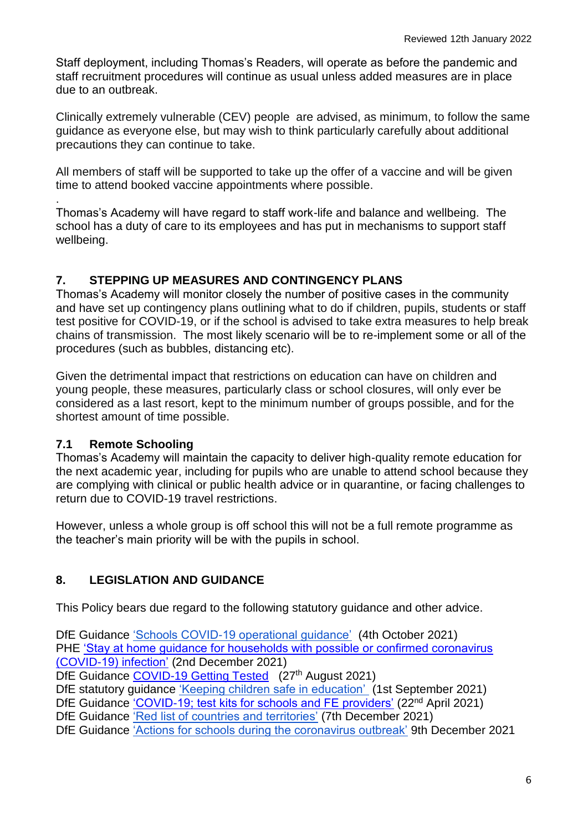Staff deployment, including Thomas's Readers, will operate as before the pandemic and staff recruitment procedures will continue as usual unless added measures are in place due to an outbreak.

Clinically extremely vulnerable (CEV) people are advised, as minimum, to follow the same guidance as everyone else, but may wish to think particularly carefully about additional precautions they can continue to take.

All members of staff will be supported to take up the offer of a vaccine and will be given time to attend booked vaccine appointments where possible.

. Thomas's Academy will have regard to staff work-life and balance and wellbeing. The school has a duty of care to its employees and has put in mechanisms to support staff wellbeing.

#### **7. STEPPING UP MEASURES AND CONTINGENCY PLANS**

Thomas's Academy will monitor closely the number of positive cases in the community and have set up contingency plans outlining what to do if children, pupils, students or staff test positive for COVID-19, or if the school is advised to take extra measures to help break chains of transmission. The most likely scenario will be to re-implement some or all of the procedures (such as bubbles, distancing etc).

Given the detrimental impact that restrictions on education can have on children and young people, these measures, particularly class or school closures, will only ever be considered as a last resort, kept to the minimum number of groups possible, and for the shortest amount of time possible.

# **7.1 Remote Schooling**

Thomas's Academy will maintain the capacity to deliver high-quality remote education for the next academic year, including for pupils who are unable to attend school because they are complying with clinical or public health advice or in quarantine, or facing challenges to return due to COVID-19 travel restrictions.

However, unless a whole group is off school this will not be a full remote programme as the teacher's main priority will be with the pupils in school.

# **8. LEGISLATION AND GUIDANCE**

This Policy bears due regard to the following statutory guidance and other advice.

DfE Guidance ['Schools COVID-19 operational guidance'](https://www.gov.uk/government/collections/guidance-for-schools-coronavirus-covid-19) (4th October 2021) PHE ['Stay at home guidance for households with possible or confirmed coronavirus](https://www.gov.uk/government/publications/covid-19-stay-at-home-guidance/stay-at-home-guidance-for-households-with-possible-coronavirus-covid-19-infection)  [\(COVID-19\) infection'](https://www.gov.uk/government/publications/covid-19-stay-at-home-guidance/stay-at-home-guidance-for-households-with-possible-coronavirus-covid-19-infection) (2nd December 2021)

DfE Guidance [COVID-19 Getting Tested](https://www.gov.uk/guidance/coronavirus-covid-19-getting-tested) (27<sup>th</sup> August 2021)

DfE statutory guidance ['Keeping children safe in education'](https://www.gov.uk/government/publications/keeping-children-safe-in-education--2) (1st September 2021)

DfE Guidance ['COVID-19; test kits for schools and FE providers'](https://www.gov.uk/government/publications/coronavirus-covid-19-home-test-kits-for-schools-and-fe-providers/coronavirus-covid-19-home-test-kits-for-schools-and-fe-providers) (22<sup>nd</sup> April 2021)

DfE Guidance ['Red list of countries and territories'](https://www.gov.uk/guidance/red-list-of-countries-and-territories) (7th December 2021)

DfE Guidance ['Actions for schools during the coronavirus outbreak'](https://www.gov.uk/government/publications/actions-for-schools-during-the-coronavirus-outbreak) 9th December 2021